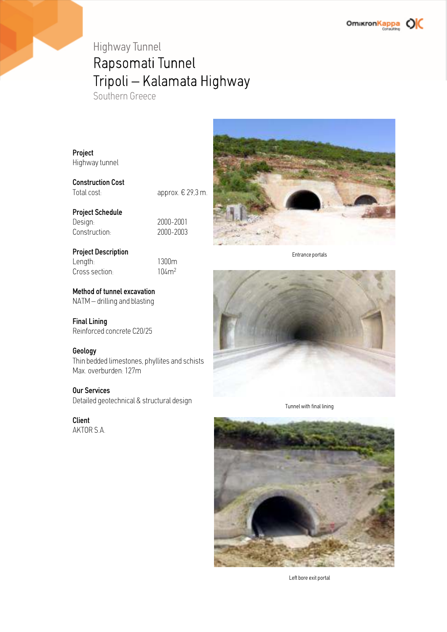## Highway Tunnel Rapsomati Tunnel Tripoli – Kalamata Highway

Southern Greece

Project Highway tunnel

Construction Cost

Total cost: approx. € 29,3 m.

#### Project Schedule

Design: 2000-2001<br>Construction: 2000-2003 Construction:

#### Project Description

Length: 1300m<br>Cross section: 104m<sup>2</sup> Cross section:

#### Method of tunnel excavation

NATM – drilling and blasting

### Final Lining

Reinforced concrete C20/25

#### Geology

Thin bedded limestones, phyllites and schists Max. overburden: 127m

#### Our Services

Detailed geotechnical & structural design

#### Client

AKTOR S.A.



Entrance portals



Tunnel with final lining



Left bore exit portal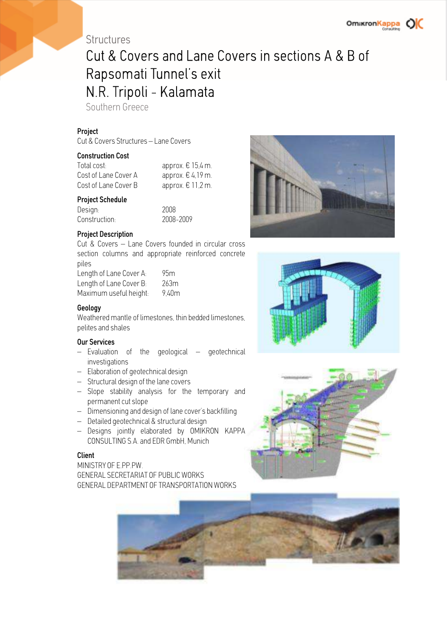### **OmikronKappa**

### **Structures**

## Cut & Covers and Lane Covers in sections A & B of Rapsomati Tunnel's exit N.R. Tripoli - Kalamata

Southern Greece

#### Project

Cut & Covers Structures – Lane Covers

#### Construction Cost

| Total cost:          | approx. $\epsilon$ 15,4 m. |
|----------------------|----------------------------|
| Cost of Lane Cover A | approx. $\epsilon$ 4,19 m. |
| Cost of Lane Cover B | approx. $\epsilon$ 11,2 m. |

#### Project Schedule

Design: 2008 Construction: 2008-2009

#### Project Description

Cut & Covers – Lane Covers founded in circular cross section columns and appropriate reinforced concrete piles

| Length of Lane Cover A: | 95m   |
|-------------------------|-------|
| Length of Lane Cover B: | 263m  |
| Maximum useful height:  | 9,40m |

#### Geology

Weathered mantle of limestones, thin bedded limestones pelites and shales

#### Our Services

- Evaluation of the geological geotechnical investigations
- Elaboration of geotechnical design
- Structural design of the lane covers
- Slope stability analysis for the temporary and permanent cut slope
- Dimensioning and design of lane cover's backfilling
- Detailed geotechnical & structural design
- Designs jointly elaborated by OMIKRON KAPPA CONSULTING S.A. and EDR GmbH, Munich

#### Client

MINISTRY OF E.PP.PW. GENERAL SECRETARIAT OF PUBLIC WORKS GENERAL DEPARTMENT OF TRANSPORTATION WORKS







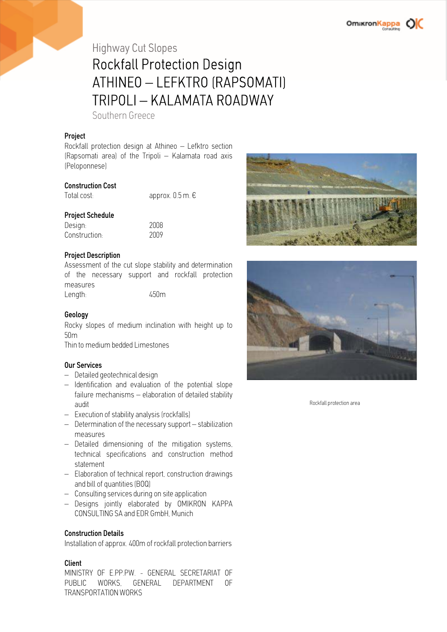# Highway Cut Slopes

### Rockfall Protection Design ATHINEO – LEFKTRO (RAPSOMATI) TRIPOLI – KALAMATA ROADWAY

Southern Greece

#### Project

Rockfall protection design at Athineo – Lefktro section (Rapsomati area) of the Tripoli – Kalamata road axis (Peloponnese)

#### Construction Cost

Total cost: approx. 0.5 m. €

#### Project Schedule

| Design:       | 2008 |
|---------------|------|
| Construction: | 2009 |

#### Project Description

Assessment of the cut slope stability and determination of the necessary support and rockfall protection measures Length: 450m

#### Geology

Rocky slopes of medium inclination with height up to 50m

Thin to medium bedded Limestones

#### Our Services

- Detailed geotechnical design
- Identification and evaluation of the potential slope failure mechanisms – elaboration of detailed stability audit
- Execution of stability analysis (rockfalls)
- Determination of the necessary support stabilization measures
- Detailed dimensioning of the mitigation systems, technical specifications and construction method statement
- Elaboration of technical report, construction drawings and bill of quantities (BOQ)
- Consulting services during on site application
- Designs jointly elaborated by OMIKRON KAPPA CONSULTING SA and EDR GmbH, Munich

#### Construction Details

Installation of approx. 400m of rockfall protection barriers

#### Client

MINISTRY OF E.PP.PW. - GENERAL SECRETARIAT OF PUBLIC WORKS, GENERAL DEPARTMENT OF TRANSPORTATION WORKS





Rockfall protection area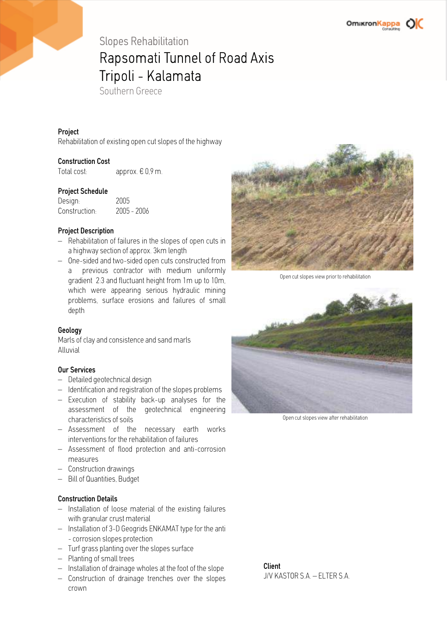### Slopes Rehabilitation Rapsomati Tunnel of Road Axis Tripoli - Kalamata

Southern Greece

#### Project

Rehabilitation of existing open cut slopes of the highway

#### Construction Cost

Total cost: approx. € 0,9 m.

#### Project Schedule

| Design:       | 2005          |
|---------------|---------------|
| Construction: | $2005 - 2006$ |

#### Project Description

- Rehabilitation of failures in the slopes of open cuts in a highway section of approx. 3km length
- One-sided and two-sided open cuts constructed from a previous contractor with medium uniformly gradient 2:3 and fluctuant height from 1m up to 10m, which were appearing serious hydraulic mining problems, surface erosions and failures of small depth

#### Geology

Marls of clay and consistence and sand marls Alluvial

#### Our Services

- Detailed geotechnical design
- Identification and registration of the slopes problems
- Execution of stability back-up analyses for the assessment of the geotechnical engineering characteristics of soils
- Assessment of the necessary earth works interventions for the rehabilitation of failures
- Assessment of flood protection and anti-corrosion measures
- Construction drawings
- Bill of Quantities, Budget

#### Construction Details

- Installation of loose material of the existing failures with granular crust material
- Installation of 3-D Geogrids ENKAMAT type for the anti - corrosion slopes protection
- Turf grass planting over the slopes surface
- Planting of small trees
- Installation of drainage wholes at the foot of the slope
- Construction of drainage trenches over the slopes crown



Open cut slopes view prior to rehabilitation



Open cut slopes view after rehabilitation

Client J/V KASTOR S.A. – ELTER S.A.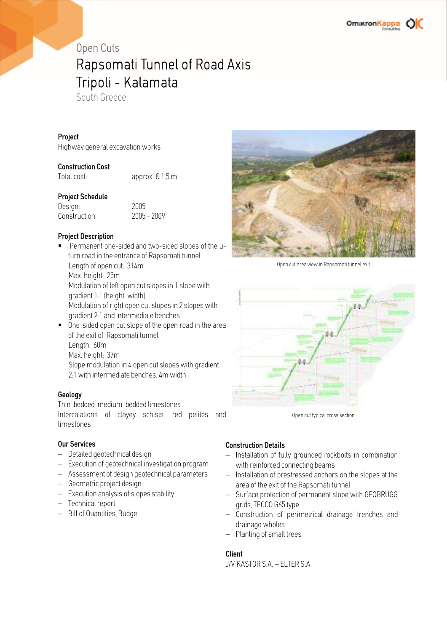## Open Cuts Rapsomati Tunnel of Road Axis Tripoli - Kalamata

South Greece

#### **Project**

Highway general excavation works

#### Construction Cost

Total cost: approx. € 1,5 m.

#### Project Schedule

Design: 2005 Construction:

#### Project Description

- Permanent one-sided and two-sided slopes of the uturn road in the entrance of Rapsomati tunnel Length of open cut: 314m Max. height: 25m Modulation of left open cut slopes in 1 slope with gradient 1:1 (height: width) Modulation of right open cut slopes in 2 slopes with gradient 2:1 and intermediate benches One-sided open cut slope of the open road in the area
- of the exit of Rapsomati tunnel Length: 60m Max. height: 37m Slope modulation in 4 open cut slopes with gradient 2:1 with intermediate benches, 4m width

#### **Geology**

Thin-bedded medium-bedded limestones Intercalations of clayey schists, red pelites and limestones

#### Our Services

- Detailed geotechnical design
- Execution of geotechnical investigation program
- Assessment of design geotechnical parameters
- Geometric project design
- Execution analysis of slopes stability
- Technical report
- Bill of Quantities, Budget



Open cut area view in Rapsomati tunnel exit



Open cut typical cross section

#### Construction Details

- Installation of fully grounded rockbolts in combination with reinforced connecting beams
- Installation of prestressed anchors on the slopes at the area of the exit of the Rapsomati tunnel
- Surface protection of permanent slope with GEOBRUGG grids, TECCO G65 type
- Construction of perimetrical drainage trenches and drainage wholes
- Planting of small trees

#### Client

J/V KASTOR S.A. – ELTER S.A.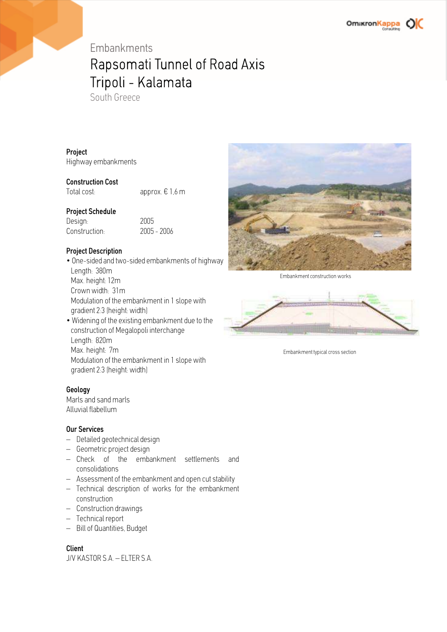## Embankments Rapsomati Tunnel of Road Axis Tripoli - Kalamata

South Greece

#### Project

Highway embankments

#### Construction Cost

Total cost:  $approx. \in 1.6$  m

#### Project Schedule

Design: 2005 Construction: 2005 - 2006

#### Project Description

- One-sided and two-sided embankments of highway Length: 380m Max. height: 12m Crown width: 31m Modulation of the embankment in 1 slope with gradient 2:3 (height: width) • Widening of the existing embankment due to the
- construction of Megalopoli interchange Length: 820m Max. height: 7m Modulation of the embankment in 1 slope with gradient 2:3 (height: width)

#### Geology

Marls and sand marls Alluvial flabellum

#### Our Services

- Detailed geotechnical design
- Geometric project design
- Check of the embankment settlements and consolidations
- Assessment of the embankment and open cut stability
- Technical description of works for the embankment construction
- Construction drawings
- Technical report
- Bill of Quantities, Budget

#### Client

J/V KASTOR S.A. – ELTER S.A.



Embankment construction works



Embankment typical cross section